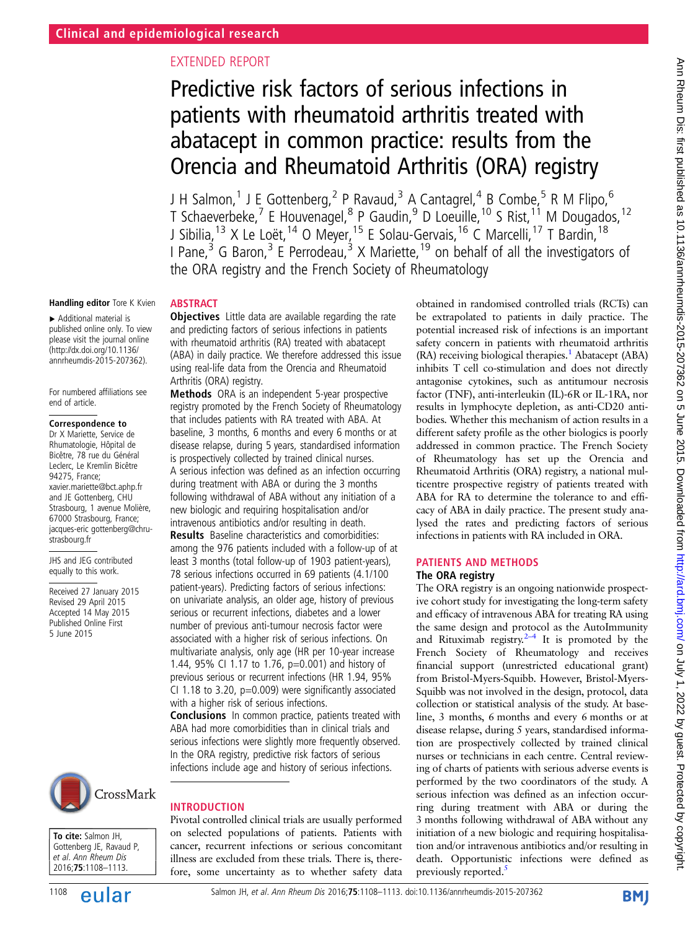# EXTENDED REPORT

# Predictive risk factors of serious infections in patients with rheumatoid arthritis treated with abatacept in common practice: results from the Orencia and Rheumatoid Arthritis (ORA) registry

J H Salmon,<sup>1</sup> J E Gottenberg,<sup>2</sup> P Ravaud,<sup>3</sup> A Cantagrel,<sup>4</sup> B Combe,<sup>5</sup> R M Flipo,<sup>6</sup> T Schaeverbeke,<sup>7</sup> E Houvenagel,<sup>8</sup> P Gaudin,<sup>9</sup> D Loeuille,<sup>10</sup> S Rist,<sup>11</sup> M Dougados,<sup>12</sup> J Sibilia,<sup>13</sup> X Le Loët,<sup>14</sup> O Meyer,<sup>15</sup> E Solau-Gervais,<sup>16</sup> C Marcelli,<sup>17</sup> T Bardin,<sup>18</sup> I Pane,<sup>3</sup> G Baron,<sup>3</sup> E Perrodeau,<sup>3</sup> X Mariette,<sup>19</sup> on behalf of all the investigators of the ORA registry and the French Society of Rheumatology

### Handling editor Tore K Kvien

▸ Additional material is published online only. To view please visit the journal online [\(http://dx.doi.org/10.1136/](http://dx.doi.org/10.1136/annrheumdis-2015-207362) [annrheumdis-2015-207362\)](http://dx.doi.org/10.1136/annrheumdis-2015-207362).

For numbered affiliations see end of article.

### Correspondence to

Dr X Mariette, Service de Rhumatologie, Hôpital de Bicêtre, 78 rue du Général Leclerc, Le Kremlin Bicêtre 94275, France; xavier.mariette@bct.aphp.fr and JE Gottenberg, CHU Strasbourg, 1 avenue Molière, 67000 Strasbourg, France; jacques-eric gottenberg@chrustrasbourg.fr

JHS and JEG contributed equally to this work.

Received 27 January 2015 Revised 29 April 2015 Accepted 14 May 2015 Published Online First 5 June 2015



To cite: Salmon JH, Gottenberg JE, Ravaud P, et al. Ann Rheum Dis 2016;75:1108–1113.



# **ABSTRACT**

**Objectives** Little data are available regarding the rate and predicting factors of serious infections in patients with rheumatoid arthritis (RA) treated with abatacept (ABA) in daily practice. We therefore addressed this issue using real-life data from the Orencia and Rheumatoid Arthritis (ORA) registry.

Methods ORA is an independent 5-year prospective registry promoted by the French Society of Rheumatology that includes patients with RA treated with ABA. At baseline, 3 months, 6 months and every 6 months or at disease relapse, during 5 years, standardised information is prospectively collected by trained clinical nurses. A serious infection was defined as an infection occurring during treatment with ABA or during the 3 months following withdrawal of ABA without any initiation of a new biologic and requiring hospitalisation and/or intravenous antibiotics and/or resulting in death.

Results Baseline characteristics and comorbidities: among the 976 patients included with a follow-up of at least 3 months (total follow-up of 1903 patient-years), 78 serious infections occurred in 69 patients (4.1/100 patient-years). Predicting factors of serious infections: on univariate analysis, an older age, history of previous serious or recurrent infections, diabetes and a lower number of previous anti-tumour necrosis factor were associated with a higher risk of serious infections. On multivariate analysis, only age (HR per 10-year increase 1.44, 95% CI 1.17 to 1.76, p=0.001) and history of previous serious or recurrent infections (HR 1.94, 95% CI 1.18 to 3.20,  $p=0.009$ ) were significantly associated with a higher risk of serious infections.

Conclusions In common practice, patients treated with ABA had more comorbidities than in clinical trials and serious infections were slightly more frequently observed. In the ORA registry, predictive risk factors of serious infections include age and history of serious infections.

### INTRODUCTION

Pivotal controlled clinical trials are usually performed on selected populations of patients. Patients with cancer, recurrent infections or serious concomitant illness are excluded from these trials. There is, therefore, some uncertainty as to whether safety data obtained in randomised controlled trials (RCTs) can be extrapolated to patients in daily practice. The potential increased risk of infections is an important safety concern in patients with rheumatoid arthritis  $(RA)$  receiving biological therapies.<sup>[1](#page-4-0)</sup> Abatacept (ABA) inhibits T cell co-stimulation and does not directly antagonise cytokines, such as antitumour necrosis factor (TNF), anti-interleukin (IL)-6R or IL-1RA, nor results in lymphocyte depletion, as anti-CD20 antibodies. Whether this mechanism of action results in a different safety profile as the other biologics is poorly addressed in common practice. The French Society of Rheumatology has set up the Orencia and Rheumatoid Arthritis (ORA) registry, a national multicentre prospective registry of patients treated with ABA for RA to determine the tolerance to and efficacy of ABA in daily practice. The present study analysed the rates and predicting factors of serious infections in patients with RA included in ORA.

# PATIENTS AND METHODS

# The ORA registry

The ORA registry is an ongoing nationwide prospective cohort study for investigating the long-term safety and efficacy of intravenous ABA for treating RA using the same design and protocol as the AutoImmunity and Rituximab registry.<sup>2–4</sup> It is promoted by the French Society of Rheumatology and receives financial support (unrestricted educational grant) from Bristol-Myers-Squibb. However, Bristol-Myers-Squibb was not involved in the design, protocol, data collection or statistical analysis of the study. At baseline, 3 months, 6 months and every 6 months or at disease relapse, during 5 years, standardised information are prospectively collected by trained clinical nurses or technicians in each centre. Central reviewing of charts of patients with serious adverse events is performed by the two coordinators of the study. A serious infection was defined as an infection occurring during treatment with ABA or during the 3 months following withdrawal of ABA without any initiation of a new biologic and requiring hospitalisation and/or intravenous antibiotics and/or resulting in death. Opportunistic infections were defined as previously reported.<sup>5</sup>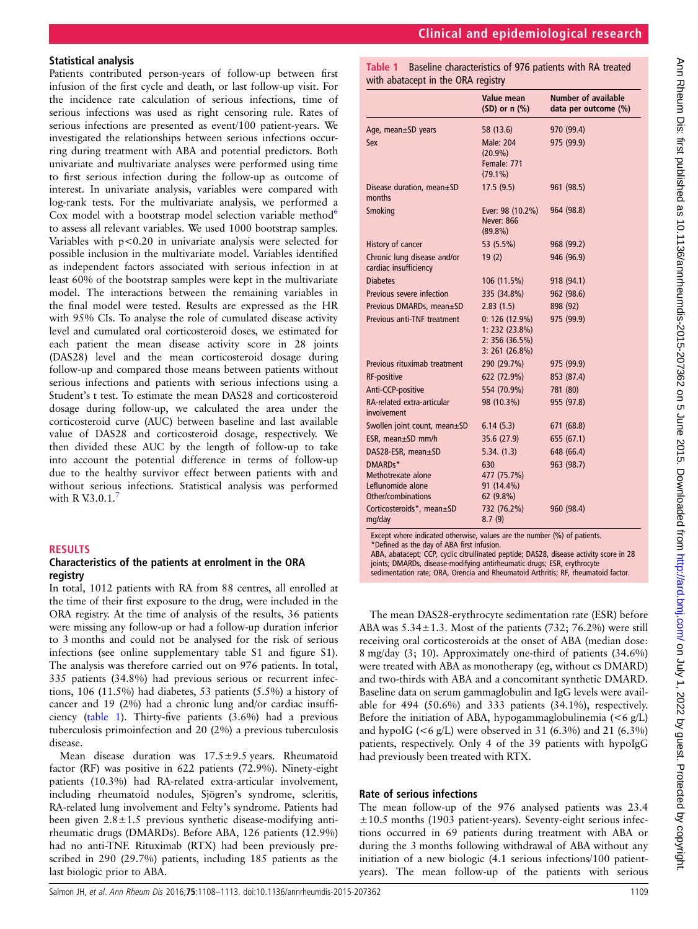# Clinical and epidemiological research

# Ann Rheum Dis: first published as 10.1136/annrheumdis-2015-207362 on 5 June 2015. Downloaded from http://ard.bmj.com/ on July 1, 2022 by guest. Protected by copyright Ann Dis: first published as 10.1136/annrheumdis-2015-201362 on 5 June 2015. Downloaded from <http://ard.bmj.com/> on July 1, 2022 by guest. Protected by copyright.

# Statistical analysis

Patients contributed person-years of follow-up between first infusion of the first cycle and death, or last follow-up visit. For the incidence rate calculation of serious infections, time of serious infections was used as right censoring rule. Rates of serious infections are presented as event/100 patient-years. We investigated the relationships between serious infections occurring during treatment with ABA and potential predictors. Both univariate and multivariate analyses were performed using time to first serious infection during the follow-up as outcome of interest. In univariate analysis, variables were compared with log-rank tests. For the multivariate analysis, we performed a Cox model with a bootstrap model selection variable method<sup>[6](#page-4-0)</sup> to assess all relevant variables. We used 1000 bootstrap samples. Variables with p<0.20 in univariate analysis were selected for possible inclusion in the multivariate model. Variables identified as independent factors associated with serious infection in at least 60% of the bootstrap samples were kept in the multivariate model. The interactions between the remaining variables in the final model were tested. Results are expressed as the HR with 95% CIs. To analyse the role of cumulated disease activity level and cumulated oral corticosteroid doses, we estimated for each patient the mean disease activity score in 28 joints (DAS28) level and the mean corticosteroid dosage during follow-up and compared those means between patients without serious infections and patients with serious infections using a Student's t test. To estimate the mean DAS28 and corticosteroid dosage during follow-up, we calculated the area under the corticosteroid curve (AUC) between baseline and last available value of DAS28 and corticosteroid dosage, respectively. We then divided these AUC by the length of follow-up to take into account the potential difference in terms of follow-up due to the healthy survivor effect between patients with and without serious infections. Statistical analysis was performed with R V.3.0.1. $\overline{5}$ 

# RESULTS

### Characteristics of the patients at enrolment in the ORA registry

In total, 1012 patients with RA from 88 centres, all enrolled at the time of their first exposure to the drug, were included in the ORA registry. At the time of analysis of the results, 36 patients were missing any follow-up or had a follow-up duration inferior to 3 months and could not be analysed for the risk of serious infections (see online supplementary table S1 and figure S1). The analysis was therefore carried out on 976 patients. In total, 335 patients (34.8%) had previous serious or recurrent infections, 106 (11.5%) had diabetes, 53 patients (5.5%) a history of cancer and 19 (2%) had a chronic lung and/or cardiac insufficiency (table 1). Thirty-five patients (3.6%) had a previous tuberculosis primoinfection and 20 (2%) a previous tuberculosis disease.

Mean disease duration was 17.5±9.5 years. Rheumatoid factor (RF) was positive in 622 patients (72.9%). Ninety-eight patients (10.3%) had RA-related extra-articular involvement, including rheumatoid nodules, Sjögren's syndrome, scleritis, RA-related lung involvement and Felty's syndrome. Patients had been given  $2.8 \pm 1.5$  previous synthetic disease-modifying antirheumatic drugs (DMARDs). Before ABA, 126 patients (12.9%) had no anti-TNF. Rituximab (RTX) had been previously prescribed in 290 (29.7%) patients, including 185 patients as the last biologic prior to ABA.

Table 1 Baseline characteristics of 976 patients with RA treated with abatacept in the ORA registry

|                                                                          | Value mean<br>$(SD)$ or n $(\%)$                                         | Number of available<br>data per outcome (%) |
|--------------------------------------------------------------------------|--------------------------------------------------------------------------|---------------------------------------------|
| Age, mean±SD years                                                       | 58 (13.6)                                                                | 970 (99.4)                                  |
| Sex                                                                      | <b>Male: 204</b><br>$(20.9\%)$<br>Female: 771<br>$(79.1\%)$              | 975 (99.9)                                  |
| Disease duration, mean±SD<br>months                                      | 17.5(9.5)                                                                | 961 (98.5)                                  |
| Smoking                                                                  | Ever: 98 (10.2%)<br><b>Never: 866</b><br>$(89.8\%)$                      | 964 (98.8)                                  |
| History of cancer                                                        | 53 (5.5%)                                                                | 968 (99.2)                                  |
| Chronic lung disease and/or<br>cardiac insufficiency                     | 19(2)                                                                    | 946 (96.9)                                  |
| <b>Diabetes</b>                                                          | 106 (11.5%)                                                              | 918 (94.1)                                  |
| Previous severe infection                                                | 335 (34.8%)                                                              | 962 (98.6)                                  |
| Previous DMARDs, mean±SD                                                 | 2.83(1.5)                                                                | 898 (92)                                    |
| Previous anti-TNF treatment                                              | $0: 126(12.9\%)$<br>1: 232 (23.8%)<br>2: 356(36.5%)<br>$3: 261 (26.8\%)$ | 975 (99.9)                                  |
| Previous rituximab treatment                                             | 290 (29.7%)                                                              | 975 (99.9)                                  |
| <b>RF-positive</b>                                                       | 622 (72.9%)                                                              | 853 (87.4)                                  |
| Anti-CCP-positive                                                        | 554 (70.9%)                                                              | 781 (80)                                    |
| RA-related extra-articular<br>involvement                                | 98 (10.3%)                                                               | 955 (97.8)                                  |
| Swollen joint count, mean±SD                                             | 6.14(5.3)                                                                | 671 (68.8)                                  |
| ESR, mean±SD mm/h                                                        | 35.6 (27.9)                                                              | 655 (67.1)                                  |
| DAS28-ESR, mean±SD                                                       | 5.34. (1.3)                                                              | 648 (66.4)                                  |
| DMARDs*<br>Methotrexate alone<br>Leflunomide alone<br>Other/combinations | 630<br>477 (75.7%)<br>91 (14.4%)<br>62 (9.8%)                            | 963 (98.7)                                  |
| Corticosteroids*, mean±SD<br>mg/day                                      | 732 (76.2%)<br>8.7(9)                                                    | 960 (98.4)                                  |

\*Defined as the day of ABA first infusion.

ABA, abatacept; CCP, cyclic citrullinated peptide; DAS28, disease activity score in 28 joints; DMARDs, disease-modifying antirheumatic drugs; ESR, erythrocyte sedimentation rate; ORA, Orencia and Rheumatoid Arthritis; RF, rheumatoid factor.

The mean DAS28-erythrocyte sedimentation rate (ESR) before ABA was  $5.34 \pm 1.3$ . Most of the patients (732; 76.2%) were still receiving oral corticosteroids at the onset of ABA (median dose: 8 mg/day (3; 10). Approximately one-third of patients (34.6%) were treated with ABA as monotherapy (eg, without cs DMARD) and two-thirds with ABA and a concomitant synthetic DMARD. Baseline data on serum gammaglobulin and IgG levels were available for 494 (50.6%) and 333 patients (34.1%), respectively. Before the initiation of ABA, hypogammaglobulinemia  $(< 6 \text{ g/L})$ and hypoIG  $( $6 \text{ g/L}$ ) were observed in 31 (6.3%) and 21 (6.3%)$ patients, respectively. Only 4 of the 39 patients with hypoIgG had previously been treated with RTX.

# Rate of serious infections

The mean follow-up of the 976 analysed patients was 23.4  $\pm 10.5$  months (1903 patient-years). Seventy-eight serious infections occurred in 69 patients during treatment with ABA or during the 3 months following withdrawal of ABA without any initiation of a new biologic (4.1 serious infections/100 patientyears). The mean follow-up of the patients with serious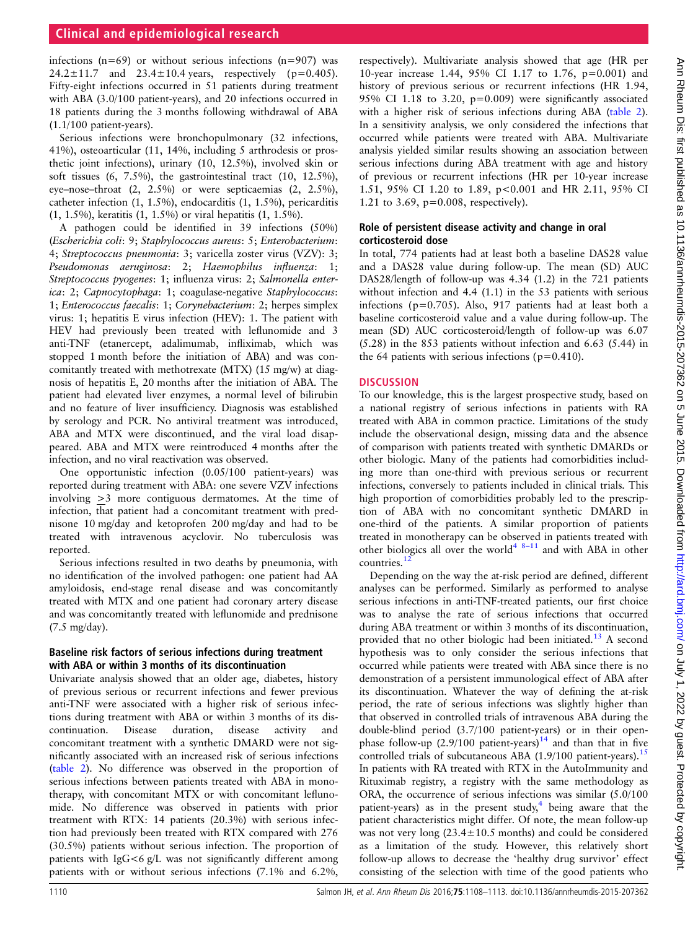infections  $(n=69)$  or without serious infections  $(n=907)$  was 24.2 $\pm$ 11.7 and 23.4 $\pm$ 10.4 years, respectively (p=0.405). Fifty-eight infections occurred in 51 patients during treatment with ABA (3.0/100 patient-years), and 20 infections occurred in 18 patients during the 3 months following withdrawal of ABA (1.1/100 patient-years).

Serious infections were bronchopulmonary (32 infections, 41%), osteoarticular (11, 14%, including 5 arthrodesis or prosthetic joint infections), urinary (10, 12.5%), involved skin or soft tissues (6, 7.5%), the gastrointestinal tract (10, 12.5%), eye–nose–throat (2, 2.5%) or were septicaemias (2, 2.5%), catheter infection (1, 1.5%), endocarditis (1, 1.5%), pericarditis (1, 1.5%), keratitis (1, 1.5%) or viral hepatitis (1, 1.5%).

A pathogen could be identified in 39 infections (50%) (Escherichia coli: 9; Staphylococcus aureus: 5; Enterobacterium: 4; Streptococcus pneumonia: 3; varicella zoster virus (VZV): 3; Pseudomonas aeruginosa: 2; Haemophilus influenza: 1; Streptococcus pyogenes: 1; influenza virus: 2; Salmonella enterica: 2; Capnocytophaga: 1; coagulase-negative Staphylococcus: 1; Enterococcus faecalis: 1; Corynebacterium: 2; herpes simplex virus: 1; hepatitis E virus infection (HEV): 1. The patient with HEV had previously been treated with leflunomide and 3 anti-TNF (etanercept, adalimumab, infliximab, which was stopped 1 month before the initiation of ABA) and was concomitantly treated with methotrexate (MTX) (15 mg/w) at diagnosis of hepatitis E, 20 months after the initiation of ABA. The patient had elevated liver enzymes, a normal level of bilirubin and no feature of liver insufficiency. Diagnosis was established by serology and PCR. No antiviral treatment was introduced, ABA and MTX were discontinued, and the viral load disappeared. ABA and MTX were reintroduced 4 months after the infection, and no viral reactivation was observed.

One opportunistic infection (0.05/100 patient-years) was reported during treatment with ABA: one severe VZV infections involving >3 more contiguous dermatomes. At the time of infection, that patient had a concomitant treatment with prednisone 10 mg/day and ketoprofen 200 mg/day and had to be treated with intravenous acyclovir. No tuberculosis was reported.

Serious infections resulted in two deaths by pneumonia, with no identification of the involved pathogen: one patient had AA amyloidosis, end-stage renal disease and was concomitantly treated with MTX and one patient had coronary artery disease and was concomitantly treated with leflunomide and prednisone (7.5 mg/day).

### Baseline risk factors of serious infections during treatment with ABA or within 3 months of its discontinuation

Univariate analysis showed that an older age, diabetes, history of previous serious or recurrent infections and fewer previous anti-TNF were associated with a higher risk of serious infections during treatment with ABA or within 3 months of its discontinuation. Disease duration, disease activity and concomitant treatment with a synthetic DMARD were not significantly associated with an increased risk of serious infections ([table 2](#page-3-0)). No difference was observed in the proportion of serious infections between patients treated with ABA in monotherapy, with concomitant MTX or with concomitant leflunomide. No difference was observed in patients with prior treatment with RTX: 14 patients (20.3%) with serious infection had previously been treated with RTX compared with 276 (30.5%) patients without serious infection. The proportion of patients with IgG<6 g/L was not significantly different among patients with or without serious infections (7.1% and 6.2%,

respectively). Multivariate analysis showed that age (HR per 10-year increase 1.44, 95% CI 1.17 to 1.76, p=0.001) and history of previous serious or recurrent infections (HR 1.94, 95% CI 1.18 to 3.20, p=0.009) were significantly associated with a higher risk of serious infections during ABA [\(table 2\)](#page-3-0). In a sensitivity analysis, we only considered the infections that occurred while patients were treated with ABA. Multivariate analysis yielded similar results showing an association between serious infections during ABA treatment with age and history of previous or recurrent infections (HR per 10-year increase 1.51, 95% CI 1.20 to 1.89, p<0.001 and HR 2.11, 95% CI 1.21 to 3.69, p=0.008, respectively).

### Role of persistent disease activity and change in oral corticosteroid dose

In total, 774 patients had at least both a baseline DAS28 value and a DAS28 value during follow-up. The mean (SD) AUC DAS28/length of follow-up was 4.34 (1.2) in the 721 patients without infection and 4.4 (1.1) in the 53 patients with serious infections (p=0.705). Also, 917 patients had at least both a baseline corticosteroid value and a value during follow-up. The mean (SD) AUC corticosteroid/length of follow-up was 6.07 (5.28) in the 853 patients without infection and 6.63 (5.44) in the 64 patients with serious infections ( $p=0.410$ ).

# **DISCUSSION**

To our knowledge, this is the largest prospective study, based on a national registry of serious infections in patients with RA treated with ABA in common practice. Limitations of the study include the observational design, missing data and the absence of comparison with patients treated with synthetic DMARDs or other biologic. Many of the patients had comorbidities including more than one-third with previous serious or recurrent infections, conversely to patients included in clinical trials. This high proportion of comorbidities probably led to the prescription of ABA with no concomitant synthetic DMARD in one-third of the patients. A similar proportion of patients treated in monotherapy can be observed in patients treated with other biologics all over the world<sup>[4](#page-4-0) 8–[11](#page-4-0)</sup> and with ABA in other countries.<sup>[12](#page-4-0)</sup>

Depending on the way the at-risk period are defined, different analyses can be performed. Similarly as performed to analyse serious infections in anti-TNF-treated patients, our first choice was to analyse the rate of serious infections that occurred during ABA treatment or within 3 months of its discontinuation, provided that no other biologic had been initiated.<sup>[13](#page-4-0)</sup> A second hypothesis was to only consider the serious infections that occurred while patients were treated with ABA since there is no demonstration of a persistent immunological effect of ABA after its discontinuation. Whatever the way of defining the at-risk period, the rate of serious infections was slightly higher than that observed in controlled trials of intravenous ABA during the double-blind period (3.7/100 patient-years) or in their openphase follow-up  $(2.9/100 \text{ patient-years})^{14}$  $(2.9/100 \text{ patient-years})^{14}$  $(2.9/100 \text{ patient-years})^{14}$  and than that in five controlled trials of subcutaneous ABA  $(1.9/100$  patient-years).<sup>[15](#page-4-0)</sup> In patients with RA treated with RTX in the AutoImmunity and Rituximab registry, a registry with the same methodology as ORA, the occurrence of serious infections was similar (5.0/100 patient-years) as in the present study, $4$  being aware that the patient characteristics might differ. Of note, the mean follow-up was not very long (23.4±10.5 months) and could be considered as a limitation of the study. However, this relatively short follow-up allows to decrease the 'healthy drug survivor' effect consisting of the selection with time of the good patients who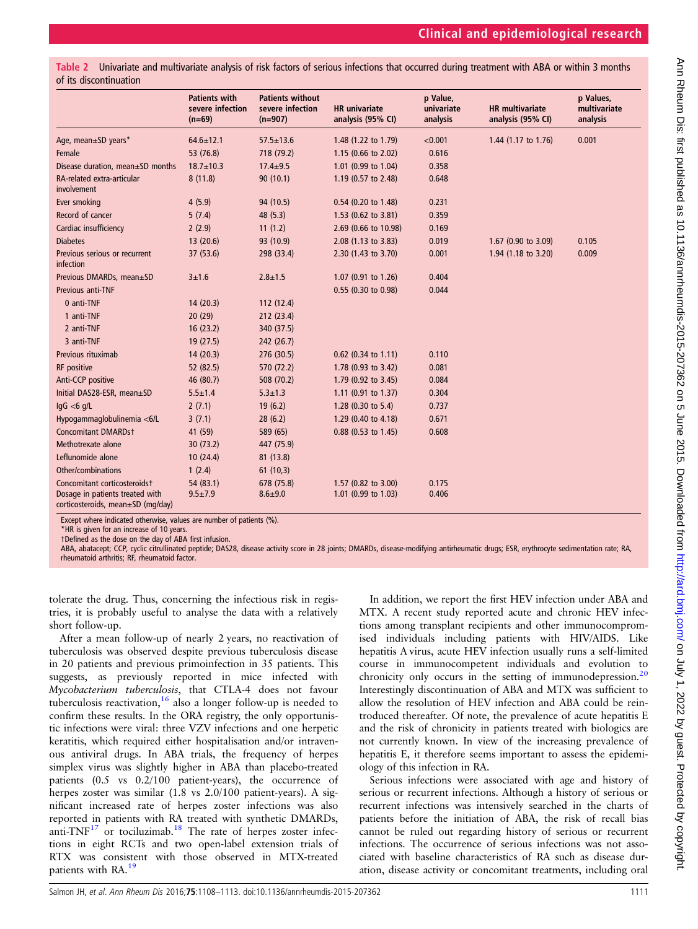<span id="page-3-0"></span>Univariate and multivariate analysis of risk factors of serious infections that occurred during treatment with ABA or within 3 months of its discontinuation

|                                                                                                      | <b>Patients with</b><br>severe infection<br>$(n=69)$ | <b>Patients without</b><br>severe infection<br>$(n=907)$ | <b>HR</b> univariate<br>analysis (95% CI)  | p Value,<br>univariate<br>analysis | <b>HR</b> multivariate<br>analysis (95% CI) | p Values,<br>multivariate<br>analysis |
|------------------------------------------------------------------------------------------------------|------------------------------------------------------|----------------------------------------------------------|--------------------------------------------|------------------------------------|---------------------------------------------|---------------------------------------|
| Age, mean±SD years*                                                                                  | $64.6 \pm 12.1$                                      | $57.5 \pm 13.6$                                          | 1.48 (1.22 to 1.79)                        | < 0.001                            | 1.44 (1.17 to 1.76)                         | 0.001                                 |
| Female                                                                                               | 53 (76.8)                                            | 718 (79.2)                                               | 1.15 (0.66 to 2.02)                        | 0.616                              |                                             |                                       |
| Disease duration, mean±SD months                                                                     | $18.7 \pm 10.3$                                      | $17.4 \pm 9.5$                                           | 1.01 (0.99 to 1.04)                        | 0.358                              |                                             |                                       |
| RA-related extra-articular<br>involvement                                                            | 8(11.8)                                              | 90(10.1)                                                 | 1.19 (0.57 to 2.48)                        | 0.648                              |                                             |                                       |
| Ever smoking                                                                                         | 4(5.9)                                               | 94 (10.5)                                                | 0.54 (0.20 to 1.48)                        | 0.231                              |                                             |                                       |
| Record of cancer                                                                                     | 5(7.4)                                               | 48 (5.3)                                                 | 1.53 (0.62 to 3.81)                        | 0.359                              |                                             |                                       |
| Cardiac insufficiency                                                                                | 2(2.9)                                               | 11(1.2)                                                  | 2.69 (0.66 to 10.98)                       | 0.169                              |                                             |                                       |
| <b>Diabetes</b>                                                                                      | 13(20.6)                                             | 93 (10.9)                                                | 2.08 (1.13 to 3.83)                        | 0.019                              | 1.67 (0.90 to 3.09)                         | 0.105                                 |
| Previous serious or recurrent<br>infection                                                           | 37 (53.6)                                            | 298 (33.4)                                               | 2.30 (1.43 to 3.70)                        | 0.001                              | 1.94 (1.18 to 3.20)                         | 0.009                                 |
| Previous DMARDs, mean±SD                                                                             | $3 + 1.6$                                            | $2.8 + 1.5$                                              | 1.07 (0.91 to 1.26)                        | 0.404                              |                                             |                                       |
| Previous anti-TNF                                                                                    |                                                      |                                                          | 0.55 (0.30 to 0.98)                        | 0.044                              |                                             |                                       |
| 0 anti-TNF                                                                                           | 14(20.3)                                             | 112(12.4)                                                |                                            |                                    |                                             |                                       |
| 1 anti-TNF                                                                                           | 20(29)                                               | 212 (23.4)                                               |                                            |                                    |                                             |                                       |
| 2 anti-TNF                                                                                           | 16(23.2)                                             | 340 (37.5)                                               |                                            |                                    |                                             |                                       |
| 3 anti-TNF                                                                                           | 19(27.5)                                             | 242 (26.7)                                               |                                            |                                    |                                             |                                       |
| Previous rituximab                                                                                   | 14(20.3)                                             | 276 (30.5)                                               | 0.62 (0.34 to 1.11)                        | 0.110                              |                                             |                                       |
| RF positive                                                                                          | 52 (82.5)                                            | 570 (72.2)                                               | 1.78 (0.93 to 3.42)                        | 0.081                              |                                             |                                       |
| Anti-CCP positive                                                                                    | 46 (80.7)                                            | 508 (70.2)                                               | 1.79 (0.92 to 3.45)                        | 0.084                              |                                             |                                       |
| Initial DAS28-ESR, mean±SD                                                                           | $5.5 \pm 1.4$                                        | $5.3 \pm 1.3$                                            | 1.11 (0.91 to 1.37)                        | 0.304                              |                                             |                                       |
| lgG < 6q/L                                                                                           | 2(7.1)                                               | 19(6.2)                                                  | 1.28 (0.30 to 5.4)                         | 0.737                              |                                             |                                       |
| Hypogammaglobulinemia <6/L                                                                           | 3(7.1)                                               | 28(6.2)                                                  | 1.29 (0.40 to 4.18)                        | 0.671                              |                                             |                                       |
| <b>Concomitant DMARDst</b>                                                                           | 41 (59)                                              | 589 (65)                                                 | 0.88 (0.53 to 1.45)                        | 0.608                              |                                             |                                       |
| Methotrexate alone                                                                                   | 30(73.2)                                             | 447 (75.9)                                               |                                            |                                    |                                             |                                       |
| Leflunomide alone                                                                                    | 10(24.4)                                             | 81 (13.8)                                                |                                            |                                    |                                             |                                       |
| Other/combinations                                                                                   | 1(2.4)                                               | 61(10,3)                                                 |                                            |                                    |                                             |                                       |
| Concomitant corticosteroidst<br>Dosage in patients treated with<br>corticosteroids, mean±SD (mg/day) | 54 (83.1)<br>$9.5 \pm 7.9$                           | 678 (75.8)<br>$8.6 + 9.0$                                | 1.57 (0.82 to 3.00)<br>1.01 (0.99 to 1.03) | 0.175<br>0.406                     |                                             |                                       |

Except where indicated otherwise, values are number of patients (%).

\*HR is given for an increase of 10 years.

†Defined as the dose on the day of ABA first infusion.

ABA, abatacept; CCP, cyclic citrullinated peptide; DAS28, disease activity score in 28 joints; DMARDs, disease-modifying antirheumatic drugs; ESR, erythrocyte sedimentation rate; RA, rheumatoid arthritis; RF, rheumatoid factor.

tolerate the drug. Thus, concerning the infectious risk in registries, it is probably useful to analyse the data with a relatively short follow-up.

After a mean follow-up of nearly 2 years, no reactivation of tuberculosis was observed despite previous tuberculosis disease in 20 patients and previous primoinfection in 35 patients. This suggests, as previously reported in mice infected with Mycobacterium tuberculosis, that CTLA-4 does not favour tuberculosis reactivation,  $16$  also a longer follow-up is needed to confirm these results. In the ORA registry, the only opportunistic infections were viral: three VZV infections and one herpetic keratitis, which required either hospitalisation and/or intravenous antiviral drugs. In ABA trials, the frequency of herpes simplex virus was slightly higher in ABA than placebo-treated patients (0.5 vs 0.2/100 patient-years), the occurrence of herpes zoster was similar (1.8 vs 2.0/100 patient-years). A significant increased rate of herpes zoster infections was also reported in patients with RA treated with synthetic DMARDs, anti-TNF $^{17}$  $^{17}$  $^{17}$  or tociluzimab.<sup>[18](#page-5-0)</sup> The rate of herpes zoster infections in eight RCTs and two open-label extension trials of RTX was consistent with those observed in MTX-treated patients with RA.<sup>[19](#page-5-0)</sup>

In addition, we report the first HEV infection under ABA and MTX. A recent study reported acute and chronic HEV infections among transplant recipients and other immunocompromised individuals including patients with HIV/AIDS. Like hepatitis A virus, acute HEV infection usually runs a self-limited course in immunocompetent individuals and evolution to chronicity only occurs in the setting of immunodepression.<sup>[20](#page-5-0)</sup> Interestingly discontinuation of ABA and MTX was sufficient to allow the resolution of HEV infection and ABA could be reintroduced thereafter. Of note, the prevalence of acute hepatitis E and the risk of chronicity in patients treated with biologics are not currently known. In view of the increasing prevalence of hepatitis E, it therefore seems important to assess the epidemiology of this infection in RA.

Serious infections were associated with age and history of serious or recurrent infections. Although a history of serious or recurrent infections was intensively searched in the charts of patients before the initiation of ABA, the risk of recall bias cannot be ruled out regarding history of serious or recurrent infections. The occurrence of serious infections was not associated with baseline characteristics of RA such as disease duration, disease activity or concomitant treatments, including oral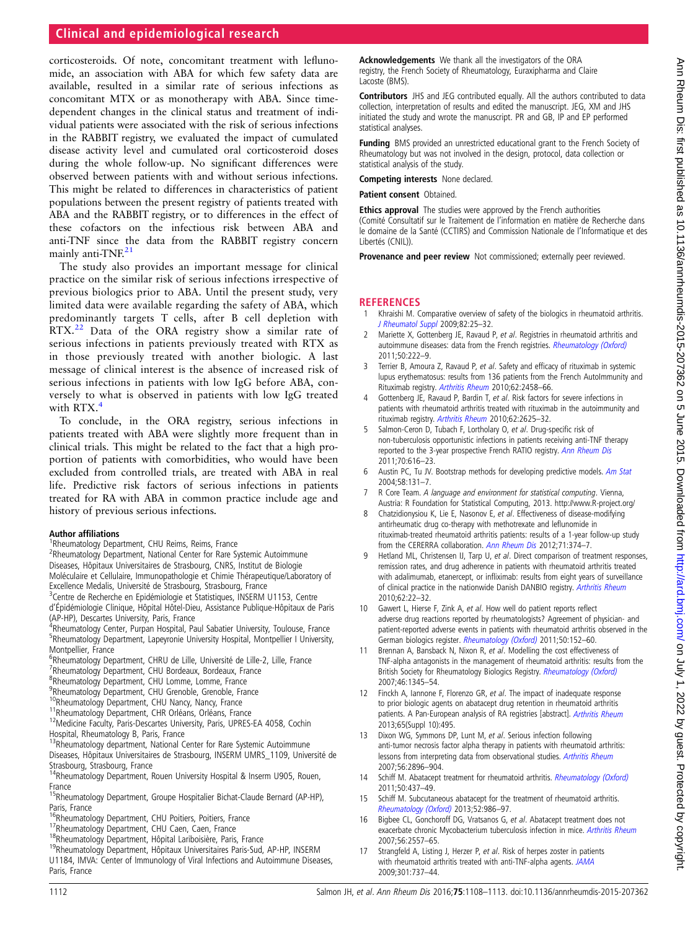# <span id="page-4-0"></span>Clinical and epidemiological research

corticosteroids. Of note, concomitant treatment with leflunomide, an association with ABA for which few safety data are available, resulted in a similar rate of serious infections as concomitant MTX or as monotherapy with ABA. Since timedependent changes in the clinical status and treatment of individual patients were associated with the risk of serious infections in the RABBIT registry, we evaluated the impact of cumulated disease activity level and cumulated oral corticosteroid doses during the whole follow-up. No significant differences were observed between patients with and without serious infections. This might be related to differences in characteristics of patient populations between the present registry of patients treated with ABA and the RABBIT registry, or to differences in the effect of these cofactors on the infectious risk between ABA and anti-TNF since the data from the RABBIT registry concern mainly anti-TNF.<sup>[21](#page-5-0)</sup>

The study also provides an important message for clinical practice on the similar risk of serious infections irrespective of previous biologics prior to ABA. Until the present study, very limited data were available regarding the safety of ABA, which predominantly targets T cells, after B cell depletion with RTX.<sup>[22](#page-5-0)</sup> Data of the ORA registry show a similar rate of serious infections in patients previously treated with RTX as in those previously treated with another biologic. A last message of clinical interest is the absence of increased risk of serious infections in patients with low IgG before ABA, conversely to what is observed in patients with low IgG treated with RTX.4

To conclude, in the ORA registry, serious infections in patients treated with ABA were slightly more frequent than in clinical trials. This might be related to the fact that a high proportion of patients with comorbidities, who would have been excluded from controlled trials, are treated with ABA in real life. Predictive risk factors of serious infections in patients treated for RA with ABA in common practice include age and history of previous serious infections.

### Author affiliations <sup>1</sup>

- <sup>1</sup>Rheumatology Department, CHU Reims, Reims, France
- <sup>2</sup>Rheumatology Department, National Center for Rare Systemic Autoimmune
- Diseases, Hôpitaux Universitaires de Strasbourg, CNRS, Institut de Biologie
- Moléculaire et Cellulaire, Immunopathologie et Chimie Thérapeutique/Laboratory of
- Excellence Medalis, Université de Strasbourg, Strasbourg, France
- <sup>3</sup>Centre de Recherche en Epidémiologie et Statistiques, INSERM U1153, Centre
- d'Épidémiologie Clinique, Hôpital Hôtel-Dieu, Assistance Publique-Hôpitaux de Paris (AP-HP), Descartes University, Paris, France
- <sup>4</sup>Rheumatology Center, Purpan Hospital, Paul Sabatier University, Toulouse, France <sup>5</sup>Rheumatology Department, Lapeyronie University Hospital, Montpellier I University, Montpellier, France
- <sup>6</sup>Rheumatology Department, CHRU de Lille, Université de Lille-2, Lille, France
- <sup>7</sup>Rheumatology Department, CHU Bordeaux, Bordeaux, France
- 8 Rheumatology Department, CHU Lomme, Lomme, France
- <sup>9</sup>Rheumatology Department, CHU Grenoble, Grenoble, France
- 
- 
- <sup>10</sup>Rheumatology Department, CHU Nancy, Nancy, France  $11$ Rheumatology Department, CHR Orléans, Orléans, France  $12$ Medicine Faculty, Paris-Descartes University, Paris, UPRES-EA 4058, Cochin Hospital, Rheumatology B, Paris, France
- <sup>13</sup>Rheumatology department, National Center for Rare Systemic Autoimmune
- Diseases, Hôpitaux Universitaires de Strasbourg, INSERM UMRS\_1109, Université de Strasbourg, Strasbourg, France
- <sup>14</sup>Rheumatology Department, Rouen University Hospital & Inserm U905, Rouen, France
- <sup>15</sup>Rheumatology Department, Groupe Hospitalier Bichat-Claude Bernard (AP-HP), Paris, France<br><sup>16</sup>Rheumatology Department, CHU Poitiers, Poitiers, France
- 
- 
- 
- <sup>17</sup>Rheumatology Department, CHU Caen, Caen, France<br><sup>18</sup>Rheumatology Department, Hôpital Lariboisière, Paris, France<br><sup>19</sup>Rheumatology Department, Hôpitaux Universitaires Paris-Sud, AP-HP, INSERM
- U1184, IMVA: Center of Immunology of Viral Infections and Autoimmune Diseases, Paris, France

Acknowledgements We thank all the investigators of the ORA registry, the French Society of Rheumatology, Euraxipharma and Claire Lacoste (BMS).

Contributors JHS and JEG contributed equally. All the authors contributed to data collection, interpretation of results and edited the manuscript. JEG, XM and JHS initiated the study and wrote the manuscript. PR and GB, IP and EP performed statistical analyses.

Funding BMS provided an unrestricted educational grant to the French Society of Rheumatology but was not involved in the design, protocol, data collection or statistical analysis of the study.

Competing interests None declared.

Patient consent Obtained.

**Ethics approval** The studies were approved by the French authorities (Comité Consultatif sur le Traitement de l'information en matière de Recherche dans le domaine de la Santé (CCTIRS) and Commission Nationale de l'Informatique et des Libertés (CNIL)).

Provenance and peer review Not commissioned; externally peer reviewed.

### **REFERENCES**

- 1 Khraishi M. Comparative overview of safety of the biologics in rheumatoid arthritis. [J Rheumatol Suppl](http://dx.doi.org/10.3899/jrheum.090128) 2009;82:25–32.
- 2 Mariette X, Gottenberg JE, Ravaud P, et al. Registries in rheumatoid arthritis and autoimmune diseases: data from the French registries. [Rheumatology \(Oxford\)](http://dx.doi.org/10.1093/rheumatology/keq368) 2011;50:222–9.
- 3 Terrier B, Amoura Z, Ravaud P, et al. Safety and efficacy of rituximab in systemic lupus erythematosus: results from 136 patients from the French AutoImmunity and Rituximab registry. [Arthritis Rheum](http://dx.doi.org/10.1002/art.27541) 2010;62:2458–66.
- 4 Gottenberg JE, Ravaud P, Bardin T, et al. Risk factors for severe infections in patients with rheumatoid arthritis treated with rituximab in the autoimmunity and rituximab registry. [Arthritis Rheum](http://dx.doi.org/10.1002/art.27555) 2010;62:2625–32.
- 5 Salmon-Ceron D, Tubach F, Lortholary O, et al. Drug-specific risk of non-tuberculosis opportunistic infections in patients receiving anti-TNF therapy reported to the 3-year prospective French RATIO registry. [Ann Rheum Dis](http://dx.doi.org/10.1136/ard.2010.137422) 2011;70:616–23.
- 6 Austin PC, Tu JV. Bootstrap methods for developing predictive models. [Am Stat](http://dx.doi.org/10.1198/0003130043277) 2004;58:131–7.
- 7 R Core Team. A language and environment for statistical computing. Vienna, Austria: R Foundation for Statistical Computing, 2013.<http://www.R-project.org/>
- 8 Chatzidionysiou K, Lie E, Nasonov E, et al. Effectiveness of disease-modifying antirheumatic drug co-therapy with methotrexate and leflunomide in rituximab-treated rheumatoid arthritis patients: results of a 1-year follow-up study from the CERERRA collaboration. [Ann Rheum Dis](http://dx.doi.org/10.1136/annrheumdis-2011-200003) 2012;71:374-7.
- 9 Hetland ML, Christensen IJ, Tarp U, et al. Direct comparison of treatment responses, remission rates, and drug adherence in patients with rheumatoid arthritis treated with adalimumab, etanercept, or infliximab: results from eight years of surveillance of clinical practice in the nationwide Danish DANBIO registry. [Arthritis Rheum](http://dx.doi.org/10.1002/art.27227) 2010;62:22–32.
- 10 Gawert L, Hierse F, Zink A, et al. How well do patient reports reflect adverse drug reactions reported by rheumatologists? Agreement of physician- and patient-reported adverse events in patients with rheumatoid arthritis observed in the German biologics register. [Rheumatology \(Oxford\)](http://dx.doi.org/10.1093/rheumatology/keq300) 2011;50:152-60.
- 11 Brennan A, Bansback N, Nixon R, et al. Modelling the cost effectiveness of TNF-alpha antagonists in the management of rheumatoid arthritis: results from the British Society for Rheumatology Biologics Registry. [Rheumatology \(Oxford\)](http://dx.doi.org/10.1093/rheumatology/kem115) 2007;46:1345–54.
- 12 Finckh A, Iannone F, Florenzo GR, et al. The impact of inadequate response to prior biologic agents on abatacept drug retention in rheumatoid arthritis patients. A Pan-European analysis of RA registries [abstract]. [Arthritis Rheum](http://dx.doi.org/10.1002/art.2013.65.issue-s10) 2013;65(Suppl 10):495.
- 13 Dixon WG, Symmons DP, Lunt M, et al. Serious infection following anti-tumor necrosis factor alpha therapy in patients with rheumatoid arthritis: lessons from interpreting data from observational studies. [Arthritis Rheum](http://dx.doi.org/10.1002/art.22808) 2007;56:2896–904.
- 14 Schiff M. Abatacept treatment for rheumatoid arthritis. [Rheumatology \(Oxford\)](http://dx.doi.org/10.1093/rheumatology/keq287) 2011;50:437–49.
- 15 Schiff M. Subcutaneous abatacept for the treatment of rheumatoid arthritis. [Rheumatology \(Oxford\)](http://dx.doi.org/10.1093/rheumatology/ket018) 2013;52:986–97.
- 16 Bigbee CL, Gonchoroff DG, Vratsanos G, et al. Abatacept treatment does not exacerbate chronic Mycobacterium tuberculosis infection in mice. [Arthritis Rheum](http://dx.doi.org/10.1002/art.22750) 2007;56:2557–65.
- Strangfeld A, Listing J, Herzer P, et al. Risk of herpes zoster in patients with rheumatoid arthritis treated with anti-TNF-alpha agents. [JAMA](http://dx.doi.org/10.1001/jama.2009.146) 2009;301:737–44.